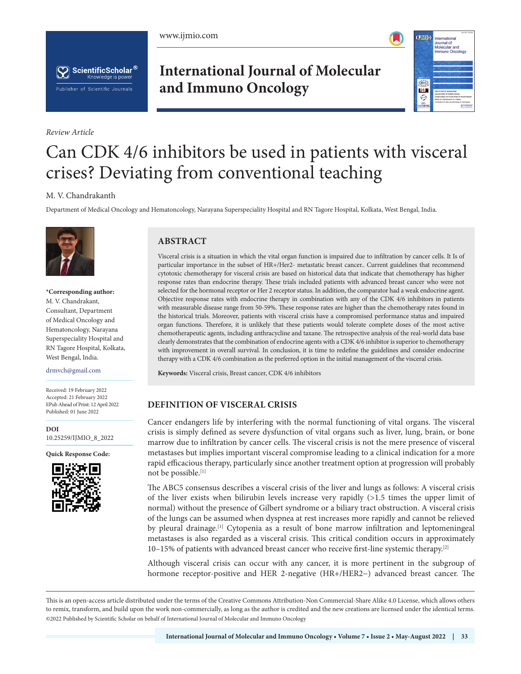





*Review Article*

# **International Journal of Molecular and Immuno Oncology**



# Can CDK 4/6 inhibitors be used in patients with visceral crises? Deviating from conventional teaching

#### M. V. Chandrakanth

Department of Medical Oncology and Hematoncology, Narayana Superspeciality Hospital and RN Tagore Hospital, Kolkata, West Bengal, India.



**\*Corresponding author:** M. V. Chandrakant, Consultant, Department of Medical Oncology and Hematoncology, Narayana Superspeciality Hospital and RN Tagore Hospital, Kolkata, West Bengal, India.

drmvch@gmail.com

Received: 19 February 2022 Accepted: 21 February 2022 EPub Ahead of Print: 12 April 2022 Published: 01 June 2022

**[DOI](https://dx.doi.org/10.25259/IJMIO_8_2022)** [10.25259/IJMIO\\_8\\_2022](https://dx.doi.org/10.25259/IJMIO_8_2022)

**Quick Response Code:**



# **ABSTRACT**

Visceral crisis is a situation in which the vital organ function is impaired due to infiltration by cancer cells. It Is of particular importance in the subset of HR+/Her2- metastatic breast cancer.. Current guidelines that recommend cytotoxic chemotherapy for visceral crisis are based on historical data that indicate that chemotherapy has higher response rates than endocrine therapy. These trials included patients with advanced breast cancer who were not selected for the hormonal receptor or Her 2 receptor status. In addition, the comparator had a weak endocrine agent. Objective response rates with endocrine therapy in combination with any of the CDK 4/6 inhibitors in patients with measurable disease range from 50-59%. These response rates are higher than the chemotherapy rates found in the historical trials. Moreover, patients with visceral crisis have a compromised performance status and impaired organ functions. Therefore, it is unlikely that these patients would tolerate complete doses of the most active chemotherapeutic agents, including anthracycline and taxane. The retrospective analysis of the real-world data base clearly demonstrates that the combination of endocrine agents with a CDK 4/6 inhibitor is superior to chemotherapy with improvement in overall survival. In conclusion, it is time to redefine the guidelines and consider endocrine therapy with a CDK 4/6 combination as the preferred option in the initial management of the visceral crisis.

**Keywords:** Visceral crisis, Breast cancer, CDK 4/6 inhibitors

# **DEFINITION OF VISCERAL CRISIS**

Cancer endangers life by interfering with the normal functioning of vital organs. The visceral crisis is simply defined as severe dysfunction of vital organs such as liver, lung, brain, or bone marrow due to infiltration by cancer cells. The visceral crisis is not the mere presence of visceral metastases but implies important visceral compromise leading to a clinical indication for a more rapid efficacious therapy, particularly since another treatment option at progression will probably not be possible.[1]

The ABC5 consensus describes a visceral crisis of the liver and lungs as follows: A visceral crisis of the liver exists when bilirubin levels increase very rapidly (>1.5 times the upper limit of normal) without the presence of Gilbert syndrome or a biliary tract obstruction. A visceral crisis of the lungs can be assumed when dyspnea at rest increases more rapidly and cannot be relieved by pleural drainage.<sup>[1]</sup> Cytopenia as a result of bone marrow infiltration and leptomeningeal metastases is also regarded as a visceral crisis. This critical condition occurs in approximately 10–15% of patients with advanced breast cancer who receive first-line systemic therapy.[2]

Although visceral crisis can occur with any cancer, it is more pertinent in the subgroup of hormone receptor-positive and HER 2-negative (HR+/HER2−) advanced breast cancer. The

This is an open-access article distributed under the terms of the Creative Commons Attribution-Non Commercial-Share Alike 4.0 License, which allows others to remix, transform, and build upon the work non-commercially, as long as the author is credited and the new creations are licensed under the identical terms. ©2022 Published by Scientific Scholar on behalf of International Journal of Molecular and Immuno Oncology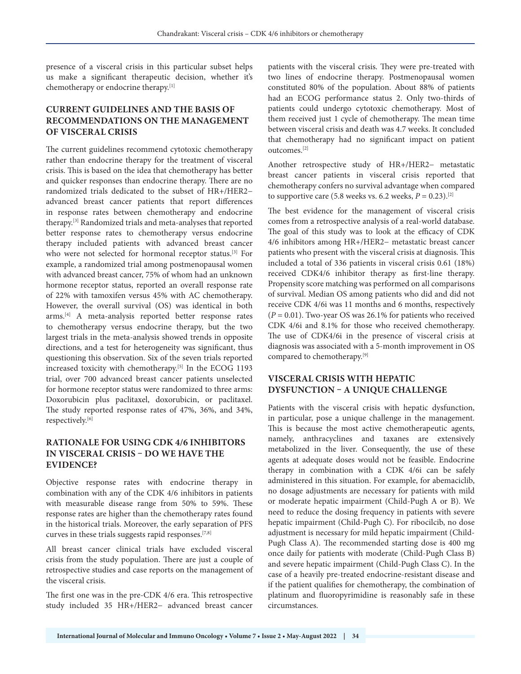presence of a visceral crisis in this particular subset helps us make a significant therapeutic decision, whether it's chemotherapy or endocrine therapy.[1]

# **CURRENT GUIDELINES AND THE BASIS OF RECOMMENDATIONS ON THE MANAGEMENT OF VISCERAL CRISIS**

The current guidelines recommend cytotoxic chemotherapy rather than endocrine therapy for the treatment of visceral crisis. This is based on the idea that chemotherapy has better and quicker responses than endocrine therapy. There are no randomized trials dedicated to the subset of HR+/HER2− advanced breast cancer patients that report differences in response rates between chemotherapy and endocrine therapy.[3] Randomized trials and meta-analyses that reported better response rates to chemotherapy versus endocrine therapy included patients with advanced breast cancer who were not selected for hormonal receptor status.<sup>[3]</sup> For example, a randomized trial among postmenopausal women with advanced breast cancer, 75% of whom had an unknown hormone receptor status, reported an overall response rate of 22% with tamoxifen versus 45% with AC chemotherapy. However, the overall survival (OS) was identical in both arms.[4] A meta-analysis reported better response rates to chemotherapy versus endocrine therapy, but the two largest trials in the meta-analysis showed trends in opposite directions, and a test for heterogeneity was significant, thus questioning this observation. Six of the seven trials reported increased toxicity with chemotherapy.[5] In the ECOG 1193 trial, over 700 advanced breast cancer patients unselected for hormone receptor status were randomized to three arms: Doxorubicin plus paclitaxel, doxorubicin, or paclitaxel. The study reported response rates of 47%, 36%, and 34%, respectively.[6]

# **RATIONALE FOR USING CDK 4/6 INHIBITORS IN VISCERAL CRISIS – DO WE HAVE THE EVIDENCE?**

Objective response rates with endocrine therapy in combination with any of the CDK 4/6 inhibitors in patients with measurable disease range from 50% to 59%. These response rates are higher than the chemotherapy rates found in the historical trials. Moreover, the early separation of PFS curves in these trials suggests rapid responses.[7,8]

All breast cancer clinical trials have excluded visceral crisis from the study population. There are just a couple of retrospective studies and case reports on the management of the visceral crisis.

The first one was in the pre-CDK 4/6 era. This retrospective study included 35 HR+/HER2− advanced breast cancer

patients with the visceral crisis. They were pre-treated with two lines of endocrine therapy. Postmenopausal women constituted 80% of the population. About 88% of patients had an ECOG performance status 2. Only two-thirds of patients could undergo cytotoxic chemotherapy. Most of them received just 1 cycle of chemotherapy. The mean time between visceral crisis and death was 4.7 weeks. It concluded that chemotherapy had no significant impact on patient outcomes.[2]

Another retrospective study of HR+/HER2− metastatic breast cancer patients in visceral crisis reported that chemotherapy confers no survival advantage when compared to supportive care (5.8 weeks vs. 6.2 weeks,  $P = 0.23$ ).<sup>[2]</sup>

The best evidence for the management of visceral crisis comes from a retrospective analysis of a real-world database. The goal of this study was to look at the efficacy of CDK 4/6 inhibitors among HR+/HER2− metastatic breast cancer patients who present with the visceral crisis at diagnosis. This included a total of 336 patients in visceral crisis 0.61 (18%) received CDK4/6 inhibitor therapy as first-line therapy. Propensity score matching was performed on all comparisons of survival. Median OS among patients who did and did not receive CDK 4/6i was 11 months and 6 months, respectively (*P* = 0.01). Two-year OS was 26.1% for patients who received CDK 4/6i and 8.1% for those who received chemotherapy. The use of CDK4/6i in the presence of visceral crisis at diagnosis was associated with a 5-month improvement in OS compared to chemotherapy.[9]

### **VISCERAL CRISIS WITH HEPATIC DYSFUNCTION – A UNIQUE CHALLENGE**

Patients with the visceral crisis with hepatic dysfunction, in particular, pose a unique challenge in the management. This is because the most active chemotherapeutic agents, namely, anthracyclines and taxanes are extensively metabolized in the liver. Consequently, the use of these agents at adequate doses would not be feasible. Endocrine therapy in combination with a CDK 4/6i can be safely administered in this situation. For example, for abemaciclib, no dosage adjustments are necessary for patients with mild or moderate hepatic impairment (Child-Pugh A or B). We need to reduce the dosing frequency in patients with severe hepatic impairment (Child-Pugh C). For ribocilcib, no dose adjustment is necessary for mild hepatic impairment (Child-Pugh Class A). The recommended starting dose is 400 mg once daily for patients with moderate (Child-Pugh Class B) and severe hepatic impairment (Child-Pugh Class C). In the case of a heavily pre-treated endocrine-resistant disease and if the patient qualifies for chemotherapy, the combination of platinum and fluoropyrimidine is reasonably safe in these circumstances.